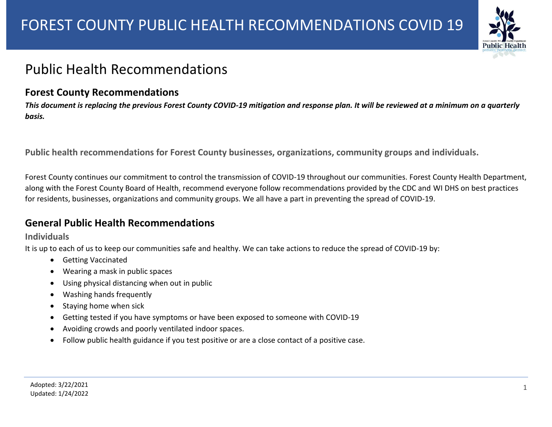

## Public Health Recommendations

## **Forest County Recommendations**

*This document is replacing the previous Forest County COVID-19 mitigation and response plan. It will be reviewed at a minimum on a quarterly basis.* 

**Public health recommendations for Forest County businesses, organizations, community groups and individuals.**

Forest County continues our commitment to control the transmission of COVID-19 throughout our communities. Forest County Health Department, along with the Forest County Board of Health, recommend everyone follow recommendations provided by the CDC and WI DHS on best practices for residents, businesses, organizations and community groups. We all have a part in preventing the spread of COVID-19.

## **General Public Health Recommendations**

### **Individuals**

It is up to each of us to keep our communities safe and healthy. We can take actions to reduce the spread of COVID-19 by:

- Getting Vaccinated
- Wearing a mask in public spaces
- Using physical distancing when out in public
- Washing hands frequently
- Staying home when sick
- Getting tested if you have symptoms or have been exposed to someone with COVID-19
- Avoiding crowds and poorly ventilated indoor spaces.
- Follow public health guidance if you test positive or are a close contact of a positive case.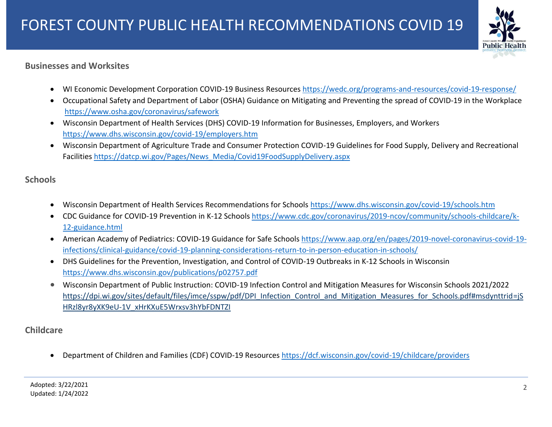

## **Businesses and Worksites**

- WI Economic Development Corporation COVID-19 Business Resources<https://wedc.org/programs-and-resources/covid-19-response/>
- Occupational Safety and Department of Labor (OSHA) Guidance on Mitigating and Preventing the spread of COVID-19 in the Workplace <https://www.osha.gov/coronavirus/safework>
- Wisconsin Department of Health Services (DHS) COVID-19 Information for Businesses, Employers, and Workers <https://www.dhs.wisconsin.gov/covid-19/employers.htm>
- Wisconsin Department of Agriculture Trade and Consumer Protection COVID-19 Guidelines for Food Supply, Delivery and Recreational Facilitie[s https://datcp.wi.gov/Pages/News\\_Media/Covid19FoodSupplyDelivery.aspx](https://datcp.wi.gov/Pages/News_Media/Covid19FoodSupplyDelivery.aspx)

## **Schools**

- Wisconsin Department of Health Services Recommendations for Schools <https://www.dhs.wisconsin.gov/covid-19/schools.htm>
- CDC Guidance for COVID-19 Prevention in K-12 Schools [https://www.cdc.gov/coronavirus/2019-ncov/community/schools-childcare/k-](https://www.cdc.gov/coronavirus/2019-ncov/community/schools-childcare/k-12-guidance.html)[12-guidance.html](https://www.cdc.gov/coronavirus/2019-ncov/community/schools-childcare/k-12-guidance.html)
- American Academy of Pediatrics: COVID-19 Guidance for Safe Schools [https://www.aap.org/en/pages/2019-novel-coronavirus-covid-19](https://www.aap.org/en/pages/2019-novel-coronavirus-covid-19-infections/clinical-guidance/covid-19-planning-considerations-return-to-in-person-education-in-schools/) [infections/clinical-guidance/covid-19-planning-considerations-return-to-in-person-education-in-schools/](https://www.aap.org/en/pages/2019-novel-coronavirus-covid-19-infections/clinical-guidance/covid-19-planning-considerations-return-to-in-person-education-in-schools/)
- DHS Guidelines for the Prevention, Investigation, and Control of COVID-19 Outbreaks in K-12 Schools in Wisconsin <https://www.dhs.wisconsin.gov/publications/p02757.pdf>
- Wisconsin Department of Public Instruction: COVID-19 Infection Control and Mitigation Measures for Wisconsin Schools 2021/2022 [https://dpi.wi.gov/sites/default/files/imce/sspw/pdf/DPI\\_Infection\\_Control\\_and\\_Mitigation\\_Measures\\_for\\_Schools.pdf#msdynttrid=jS](https://dpi.wi.gov/sites/default/files/imce/sspw/pdf/DPI_Infection_Control_and_Mitigation_Measures_for_Schools.pdf#msdynttrid=jSHRzl8yr8yXK9eU-1V_xHrKXuE5Wrxsv3hYbFDNTZI) [HRzl8yr8yXK9eU-1V\\_xHrKXuE5Wrxsv3hYbFDNTZI](https://dpi.wi.gov/sites/default/files/imce/sspw/pdf/DPI_Infection_Control_and_Mitigation_Measures_for_Schools.pdf#msdynttrid=jSHRzl8yr8yXK9eU-1V_xHrKXuE5Wrxsv3hYbFDNTZI)

## **Childcare**

Department of Children and Families (CDF) COVID-19 Resources <https://dcf.wisconsin.gov/covid-19/childcare/providers>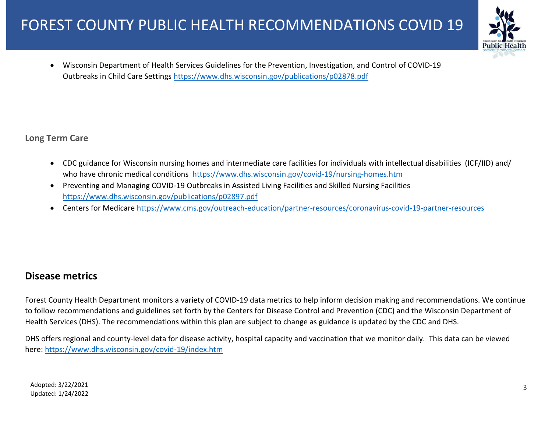

 Wisconsin Department of Health Services Guidelines for the Prevention, Investigation, and Control of COVID-19 Outbreaks in Child Care Settings<https://www.dhs.wisconsin.gov/publications/p02878.pdf>

**Long Term Care**

- CDC guidance for Wisconsin nursing homes and intermediate care facilities for individuals with intellectual disabilities (ICF/IID) and/ who have chronic medical conditions <https://www.dhs.wisconsin.gov/covid-19/nursing-homes.htm>
- Preventing and Managing COVID-19 Outbreaks in Assisted Living Facilities and Skilled Nursing Facilities <https://www.dhs.wisconsin.gov/publications/p02897.pdf>
- Centers for Medicare<https://www.cms.gov/outreach-education/partner-resources/coronavirus-covid-19-partner-resources>

## **Disease metrics**

Forest County Health Department monitors a variety of COVID-19 data metrics to help inform decision making and recommendations. We continue to follow recommendations and guidelines set forth by the Centers for Disease Control and Prevention (CDC) and the Wisconsin Department of Health Services (DHS). The recommendations within this plan are subject to change as guidance is updated by the CDC and DHS.

DHS offers regional and county-level data for disease activity, hospital capacity and vaccination that we monitor daily. This data can be viewed here:<https://www.dhs.wisconsin.gov/covid-19/index.htm>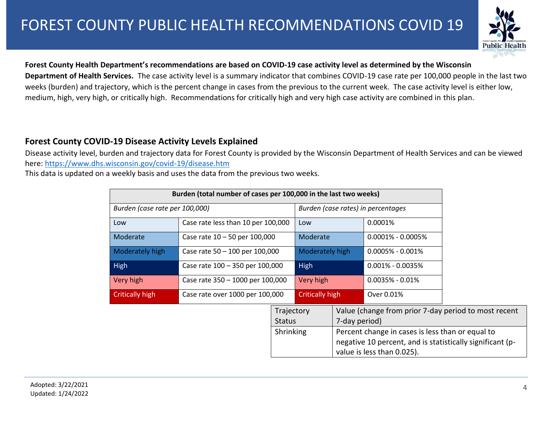

#### **Forest County Health Department's recommendations are based on COVID-19 case activity level as determined by the Wisconsin**

**Department of Health Services.** The case activity level is a summary indicator that combines COVID-19 case rate per 100,000 people in the last two weeks (burden) and trajectory, which is the percent change in cases from the previous to the current week. The case activity level is either low, medium, high, very high, or critically high. Recommendations for critically high and very high case activity are combined in this plan.

### **Forest County COVID-19 Disease Activity Levels Explained**

Disease activity level, burden and trajectory data for Forest County is provided by the Wisconsin Department of Health Services and can be viewed here:<https://www.dhs.wisconsin.gov/covid-19/disease.htm>

This data is updated on a weekly basis and uses the data from the previous two weeks.

| Burden (total number of cases per 100,000 in the last two weeks) |                                    |            |                                    |                                                      |                                                           |  |  |
|------------------------------------------------------------------|------------------------------------|------------|------------------------------------|------------------------------------------------------|-----------------------------------------------------------|--|--|
| Burden (case rate per 100,000)                                   |                                    |            | Burden (case rates) in percentages |                                                      |                                                           |  |  |
| Low                                                              | Case rate less than 10 per 100,000 |            | Low                                |                                                      | $0.0001\%$                                                |  |  |
| Moderate                                                         | Case rate $10 - 50$ per 100,000    |            | Moderate                           |                                                      | $0.0001\% - 0.0005\%$                                     |  |  |
| Moderately high                                                  | Case rate 50 - 100 per 100,000     |            | Moderately high                    |                                                      | $0.0005\% - 0.001\%$                                      |  |  |
| High                                                             | Case rate 100 - 350 per 100,000    |            | High                               |                                                      | $0.001\% - 0.0035\%$                                      |  |  |
| Very high                                                        | Case rate 350 - 1000 per 100,000   |            | Very high                          |                                                      | $0.0035\% - 0.01\%$                                       |  |  |
| Critically high                                                  | Case rate over 1000 per 100,000    |            | <b>Critically high</b>             |                                                      | Over 0.01%                                                |  |  |
|                                                                  |                                    | Trajectory |                                    | Value (change from prior 7-day period to most recent |                                                           |  |  |
|                                                                  |                                    |            | <b>Status</b>                      |                                                      | 7-day period)                                             |  |  |
|                                                                  |                                    | Shrinking  |                                    |                                                      | Percent change in cases is less than or equal to          |  |  |
|                                                                  |                                    |            |                                    |                                                      | negative 10 percent, and is statistically significant (p- |  |  |
|                                                                  |                                    |            |                                    |                                                      | value is less than 0.025).                                |  |  |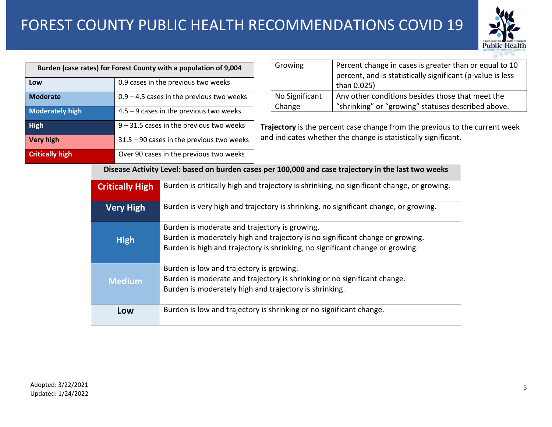# FOREST COUNTY PUBLIC HEALTH RECOMMENDATIONS COVID 19



| Burden (case rates) for Forest County with a population of 9,004 |                                                                            |                                                                                           |                                                                                                                                                                | Growing                                                        |                                                                             | Percent change in cases is greater than or equal to 10<br>percent, and is statistically significant (p-value is less |  |  |  |
|------------------------------------------------------------------|----------------------------------------------------------------------------|-------------------------------------------------------------------------------------------|----------------------------------------------------------------------------------------------------------------------------------------------------------------|----------------------------------------------------------------|-----------------------------------------------------------------------------|----------------------------------------------------------------------------------------------------------------------|--|--|--|
| Low                                                              |                                                                            | 0.9 cases in the previous two weeks                                                       |                                                                                                                                                                |                                                                |                                                                             | than 0.025)                                                                                                          |  |  |  |
| <b>Moderate</b>                                                  |                                                                            |                                                                                           | $0.9 - 4.5$ cases in the previous two weeks                                                                                                                    |                                                                | No Significant                                                              | Any other conditions besides those that meet the<br>"shrinking" or "growing" statuses described above.               |  |  |  |
| <b>Moderately high</b>                                           |                                                                            |                                                                                           | $4.5 - 9$ cases in the previous two weeks                                                                                                                      |                                                                | Change                                                                      |                                                                                                                      |  |  |  |
| <b>High</b>                                                      |                                                                            |                                                                                           | $9 - 31.5$ cases in the previous two weeks                                                                                                                     |                                                                | Trajectory is the percent case change from the previous to the current week |                                                                                                                      |  |  |  |
| <b>Very high</b>                                                 |                                                                            | $31.5 - 90$ cases in the previous two weeks                                               |                                                                                                                                                                | and indicates whether the change is statistically significant. |                                                                             |                                                                                                                      |  |  |  |
| <b>Critically high</b>                                           |                                                                            |                                                                                           | Over 90 cases in the previous two weeks                                                                                                                        |                                                                |                                                                             |                                                                                                                      |  |  |  |
|                                                                  |                                                                            |                                                                                           |                                                                                                                                                                |                                                                |                                                                             | Disease Activity Level: based on burden cases per 100,000 and case trajectory in the last two weeks                  |  |  |  |
| <b>Critically High</b>                                           |                                                                            | Burden is critically high and trajectory is shrinking, no significant change, or growing. |                                                                                                                                                                |                                                                |                                                                             |                                                                                                                      |  |  |  |
|                                                                  | <b>Very High</b>                                                           |                                                                                           | Burden is very high and trajectory is shrinking, no significant change, or growing.                                                                            |                                                                |                                                                             |                                                                                                                      |  |  |  |
|                                                                  |                                                                            |                                                                                           |                                                                                                                                                                |                                                                |                                                                             |                                                                                                                      |  |  |  |
|                                                                  | <b>High</b>                                                                |                                                                                           | Burden is moderate and trajectory is growing.                                                                                                                  |                                                                |                                                                             |                                                                                                                      |  |  |  |
|                                                                  |                                                                            |                                                                                           | Burden is moderately high and trajectory is no significant change or growing.<br>Burden is high and trajectory is shrinking, no significant change or growing. |                                                                |                                                                             |                                                                                                                      |  |  |  |
|                                                                  |                                                                            |                                                                                           |                                                                                                                                                                |                                                                |                                                                             |                                                                                                                      |  |  |  |
| <b>Medium</b>                                                    |                                                                            |                                                                                           | Burden is low and trajectory is growing.                                                                                                                       |                                                                |                                                                             |                                                                                                                      |  |  |  |
|                                                                  |                                                                            |                                                                                           | Burden is moderate and trajectory is shrinking or no significant change.<br>Burden is moderately high and trajectory is shrinking.                             |                                                                |                                                                             |                                                                                                                      |  |  |  |
|                                                                  |                                                                            |                                                                                           |                                                                                                                                                                |                                                                |                                                                             |                                                                                                                      |  |  |  |
|                                                                  | Burden is low and trajectory is shrinking or no significant change.<br>Low |                                                                                           |                                                                                                                                                                |                                                                |                                                                             |                                                                                                                      |  |  |  |
|                                                                  |                                                                            |                                                                                           |                                                                                                                                                                |                                                                |                                                                             |                                                                                                                      |  |  |  |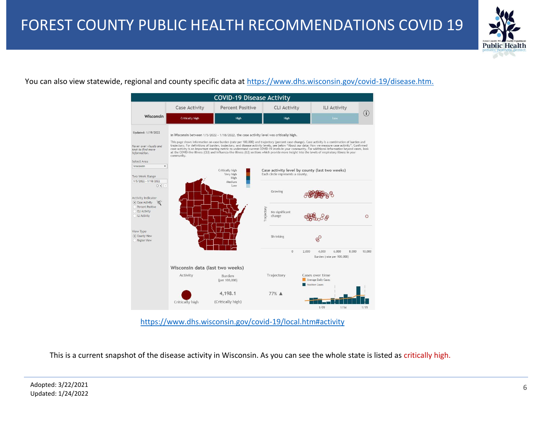

### You can also view statewide, regional and county specific data at [https://www.dhs.wisconsin.gov/covid-19/disease.htm.](https://www.dhs.wisconsin.gov/covid-19/disease.htm)



This is a current snapshot of the disease activity in Wisconsin. As you can see the whole state is listed as critically high.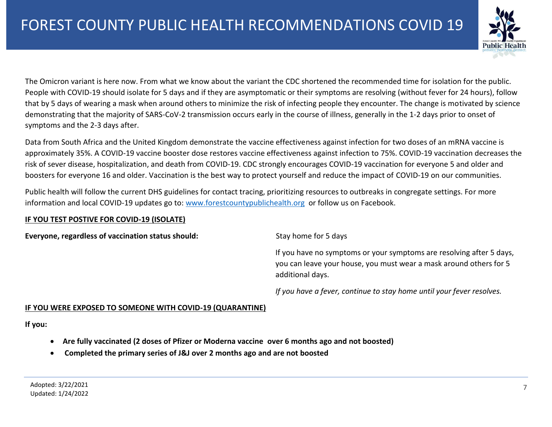

The Omicron variant is here now. From what we know about the variant the CDC shortened the recommended time for isolation for the public. People with COVID-19 should isolate for 5 days and if they are asymptomatic or their symptoms are resolving (without fever for 24 hours), follow that by 5 days of wearing a mask when around others to minimize the risk of infecting people they encounter. The change is motivated by science demonstrating that the majority of SARS-CoV-2 transmission occurs early in the course of illness, generally in the 1-2 days prior to onset of symptoms and the 2-3 days after.

Data from South Africa and the United Kingdom demonstrate the vaccine effectiveness against infection for two doses of an mRNA vaccine is approximately 35%. A COVID-19 vaccine booster dose restores vaccine effectiveness against infection to 75%. COVID-19 vaccination decreases the risk of sever disease, hospitalization, and death from COVID-19. CDC strongly encourages COVID-19 vaccination for everyone 5 and older and boosters for everyone 16 and older. Vaccination is the best way to protect yourself and reduce the impact of COVID-19 on our communities.

Public health will follow the current DHS guidelines for contact tracing, prioritizing resources to outbreaks in congregate settings. For more information and local COVID-19 updates go to: [www.forestcountypublichealth.org](http://www.forestcountypublichealth.org/) or follow us on Facebook.

#### **IF YOU TEST POSTIVE FOR COVID-19 (ISOLATE)**

**Everyone, regardless of vaccination status should:** Stay home for 5 days

If you have no symptoms or your symptoms are resolving after 5 days, you can leave your house, you must wear a mask around others for 5 additional days.

*If you have a fever, continue to stay home until your fever resolves.* 

#### **IF YOU WERE EXPOSED TO SOMEONE WITH COVID-19 (QUARANTINE)**

**If you:** 

- **Are fully vaccinated (2 doses of Pfizer or Moderna vaccine over 6 months ago and not boosted)**
- **Completed the primary series of J&J over 2 months ago and are not boosted**